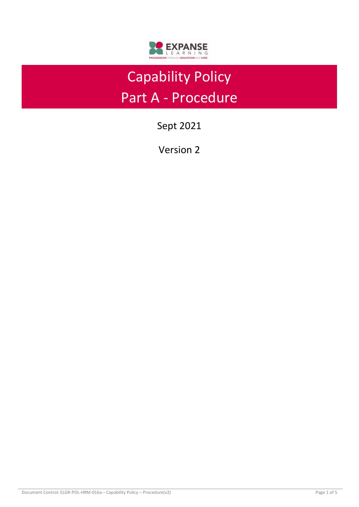

# Capability Policy Part A - Procedure

Sept 2021

Version 2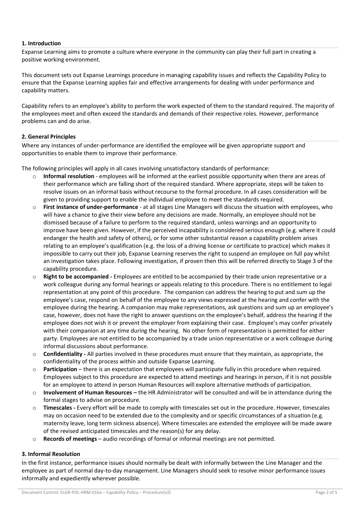## **1. Introduction**

Expanse Learning aims to promote a culture where everyone in the community can play their full part in creating a positive working environment.

This document sets out Expanse Learnings procedure in managing capability issues and reflects the Capability Policy to ensure that the Expanse Learning applies fair and effective arrangements for dealing with under performance and capability matters.

Capability refers to an employee's ability to perform the work expected of them to the standard required. The majority of the employees meet and often exceed the standards and demands of their respective roles. However, performance problems can and do arise.

## **2. General Principles**

Where any instances of under-performance are identified the employee will be given appropriate support and opportunities to enable them to improve their performance.

The following principles will apply in all cases involving unsatisfactory standards of performance:

- o **Informal resolution**  employees will be informed at the earliest possible opportunity when there are areas of their performance which are falling short of the required standard. Where appropriate, steps will be taken to resolve issues on an informal basis without recourse to the formal procedure. In all cases consideration will be given to providing support to enable the individual employee to meet the standards required.
- o **First instance of under-performance**  at all stages Line Managers will discuss the situation with employees, who will have a chance to give their view before any decisions are made. Normally, an employee should not be dismissed because of a failure to perform to the required standard, unless warnings and an opportunity to improve have been given. However, if the perceived incapability is considered serious enough (e.g. where it could endanger the health and safety of others), or for some other substantial reason a capability problem arises relating to an employee's qualification (e.g. the loss of a driving license or certificate to practice) which makes it impossible to carry out their job, Expanse Learning reserves the right to suspend an employee on full pay whilst an investigation takes place. Following investigation, if proven then this will be referred directly to Stage 3 of the capability procedure.
- o **Right to be accompanied -** Employees are entitled to be accompanied by their trade union representative or a work colleague during any formal hearings or appeals relating to this procedure. There is no entitlement to legal representation at any point of this procedure. The companion can address the hearing to put and sum up the employee's case, respond on behalf of the employee to any views expressed at the hearing and confer with the employee during the hearing. A companion may make representations, ask questions and sum up an employee's case, however, does not have the right to answer questions on the employee's behalf, address the hearing if the employee does not wish it or prevent the employer from explaining their case. Employee's may confer privately with their companion at any time during the hearing. No other form of representation is permitted for either party. Employees are not entitled to be accompanied by a trade union representative or a work colleague during informal discussions about performance.
- o **Confidentiality -** All parties involved in these procedures must ensure that they maintain, as appropriate, the confidentiality of the process within and outside Expanse Learning.
- o **Participation**  there is an expectation that employees will participate fully in this procedure when required. Employees subject to this procedure are expected to attend meetings and hearings in person, if it is not possible for an employee to attend in person Human Resources will explore alternative methods of participation.
- o **Involvement of Human Resources –** the HR Administrator will be consulted and will be in attendance during the formal stages to advise on procedure.
- o **Timescales -** Every effort will be made to comply with timescales set out in the procedure. However, timescales may on occasion need to be extended due to the complexity and or specific circumstances of a situation (e.g. maternity leave, long term sickness absence). Where timescales are extended the employee will be made aware of the revised anticipated timescales and the reason(s) for any delay.
- o **Records of meetings**  audio recordings of formal or informal meetings are not permitted.

## **3. Informal Resolution**

In the first instance, performance issues should normally be dealt with informally between the Line Manager and the employee as part of normal day-to-day management. Line Managers should seek to resolve minor performance issues informally and expediently wherever possible.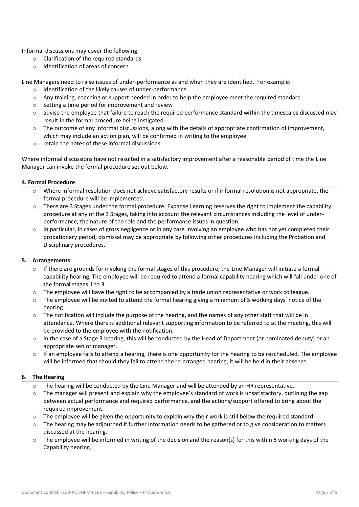Informal discussions may cover the following:

- $\circ$  Clarification of the required standards
- o Identification of areas of concern

Line Managers need to raise issues of under-performance as and when they are identified. For example:

- o Identification of the likely causes of under-performance
- $\circ$  Any training, coaching or support needed in order to help the employee meet the required standard
- o Setting a time period for improvement and review
- $\circ$  advise the employee that failure to reach the required performance standard within the timescales discussed may result in the formal procedure being instigated.
- o The outcome of any informal discussions, along with the details of appropriate confirmation of improvement, which may include an action plan, will be confirmed in writing to the employee.
- o retain the notes of these informal discussions.

Where informal discussions have not resulted in a satisfactory improvement after a reasonable period of time the Line Manager can invoke the formal procedure set out below.

#### **4. Formal Procedure**

- Where informal resolution does not achieve satisfactory results or if informal resolution is not appropriate, the formal procedure will be implemented.
- o There are 3 Stages under the formal procedure. Expanse Learning reserves the right to implement the capability procedure at any of the 3 Stages, taking into account the relevant circumstances including the level of underperformance, the nature of the role and the performance issues in question.
- $\circ$  In particular, in cases of gross negligence or in any case involving an employee who has not yet completed their probationary period, dismissal may be appropriate by following other procedures including the Probation and Disciplinary procedures.

## **5. Arrangements**

- $\circ$  If there are grounds for invoking the formal stages of this procedure, the Line Manager will initiate a formal capability hearing. The employee will be required to attend a formal capability hearing which will fall under one of the formal stages 1 to 3.
- $\circ$  The employee will have the right to be accompanied by a trade union representative or work colleague.
- $\circ$  The employee will be invited to attend the formal hearing giving a minimum of 5 working days' notice of the hearing.
- $\circ$  The notification will include the purpose of the hearing, and the names of any other staff that will be in attendance. Where there is additional relevant supporting information to be referred to at the meeting, this will be provided to the employee with the notification.
- o In the case of a Stage 3 hearing, this will be conducted by the Head of Department (or nominated deputy) or an appropriate senior manager.
- $\circ$  If an employee fails to attend a hearing, there is one opportunity for the hearing to be rescheduled. The employee will be informed that should they fail to attend the re-arranged hearing, it will be held in their absence.

## **6. The Hearing**

- $\circ$  The hearing will be conducted by the Line Manager and will be attended by an HR representative.
- $\circ$  The manager will present and explain why the employee's standard of work is unsatisfactory, outlining the gap between actual performance and required performance, and the actions/support offered to bring about the required improvement.
- $\circ$  The employee will be given the opportunity to explain why their work is still below the required standard.
- $\circ$  The hearing may be adjourned if further information needs to be gathered or to give consideration to matters discussed at the hearing.
- $\circ$  The employee will be informed in writing of the decision and the reason(s) for this within 5 working days of the Capability hearing.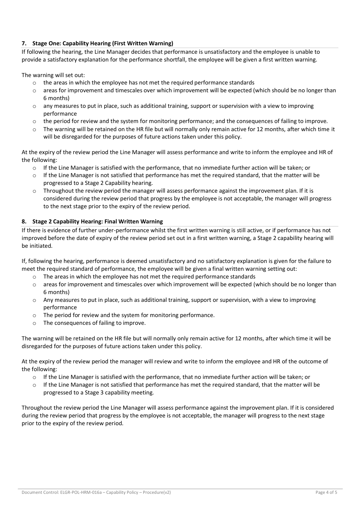# **7. Stage One: Capability Hearing (First Written Warning)**

If following the hearing, the Line Manager decides that performance is unsatisfactory and the employee is unable to provide a satisfactory explanation for the performance shortfall, the employee will be given a first written warning.

The warning will set out:

- $\circ$  the areas in which the employee has not met the required performance standards
- $\circ$  areas for improvement and timescales over which improvement will be expected (which should be no longer than 6 months)
- o any measures to put in place, such as additional training, support or supervision with a view to improving performance
- o the period for review and the system for monitoring performance; and the consequences of failing to improve.
- $\circ$  The warning will be retained on the HR file but will normally only remain active for 12 months, after which time it will be disregarded for the purposes of future actions taken under this policy.

At the expiry of the review period the Line Manager will assess performance and write to inform the employee and HR of the following:

- o If the Line Manager is satisfied with the performance, that no immediate further action will be taken; or
- $\circ$  If the Line Manager is not satisfied that performance has met the required standard, that the matter will be progressed to a Stage 2 Capability hearing.
- $\circ$  Throughout the review period the manager will assess performance against the improvement plan. If it is considered during the review period that progress by the employee is not acceptable, the manager will progress to the next stage prior to the expiry of the review period.

#### **8. Stage 2 Capability Hearing: Final Written Warning**

If there is evidence of further under-performance whilst the first written warning is still active, or if performance has not improved before the date of expiry of the review period set out in a first written warning, a Stage 2 capability hearing will be initiated.

If, following the hearing, performance is deemed unsatisfactory and no satisfactory explanation is given for the failure to meet the required standard of performance, the employee will be given a final written warning setting out:

- $\circ$  The areas in which the employee has not met the required performance standards
- o areas for improvement and timescales over which improvement will be expected (which should be no longer than 6 months)
- o Any measures to put in place, such as additional training, support or supervision, with a view to improving performance
- o The period for review and the system for monitoring performance.
- o The consequences of failing to improve.

The warning will be retained on the HR file but will normally only remain active for 12 months, after which time it will be disregarded for the purposes of future actions taken under this policy.

At the expiry of the review period the manager will review and write to inform the employee and HR of the outcome of the following:

- $\circ$  If the Line Manager is satisfied with the performance, that no immediate further action will be taken; or
- If the Line Manager is not satisfied that performance has met the required standard, that the matter will be progressed to a Stage 3 capability meeting.

Throughout the review period the Line Manager will assess performance against the improvement plan. If it is considered during the review period that progress by the employee is not acceptable, the manager will progress to the next stage prior to the expiry of the review period.